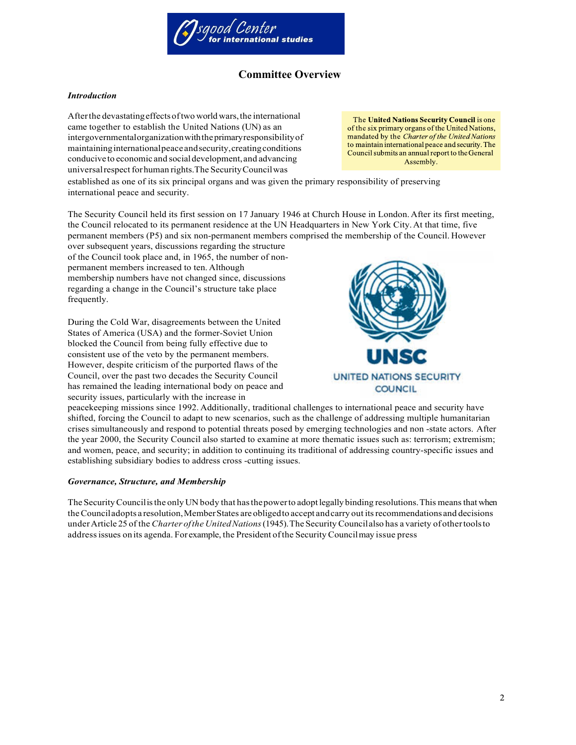

# **Committee Overview**

## *Introduction*

Afterthe devastatingeffectsoftwo worldwars,the international came together to establish the United Nations (UN) as an intergovernmentalorganizationwiththeprimaryresponsibilityof maintaininginternationalpeaceandsecurity,creatingconditions conducive to economic and socialdevelopment,and advancing universalrespectforhuman rights.The SecurityCouncilwas

The United Nations Security Council is one of the six primary organs of the United Nations, mandated by the Charter of the United Nations to maintain international peace and security. The Council submits an annual report to the General Assembly.

established as one of its six principal organs and was given the primary responsibility of preserving international peace and security.

The Security Council held its first session on 17 January 1946 at Church House in London. After its first meeting, the Council relocated to its permanent residence at the UN Headquarters in New York City.At that time, five permanent members (P5) and six non-permanent members comprised the membership of the Council. However

over subsequent years, discussions regarding the structure of the Council took place and, in 1965, the number of nonpermanent members increased to ten. Although membership numbers have not changed since, discussions regarding a change in the Council's structure take place frequently.

During the Cold War, disagreements between the United States of America (USA) and the former-Soviet Union blocked the Council from being fully effective due to consistent use of the veto by the permanent members. However, despite criticism of the purported flaws of the Council, over the past two decades the Security Council has remained the leading international body on peace and security issues, particularly with the increase in



peacekeeping missions since 1992. Additionally, traditional challenges to international peace and security have shifted, forcing the Council to adapt to new scenarios, such as the challenge of addressing multiple humanitarian crises simultaneously and respond to potential threats posed by emerging technologies and non -state actors. After the year 2000, the Security Council also started to examine at more thematic issues such as: terrorism; extremism; and women, peace, and security; in addition to continuing its traditional of addressing country-specific issues and establishing subsidiary bodies to address cross -cutting issues.

#### *Governance, Structure, and Membership*

The Security Council is the only UN body that has the power to adopt legally binding resolutions. This means that when theCounciladopts a resolution,MemberStates are obligedto accept andcarry out itsrecommendations and decisions underArticle 25 of the *Charter ofthe UnitedNations*(1945).The SecurityCouncilalso has a variety ofothertoolsto addressissues on its agenda. For example, the President ofthe Security Councilmay issue press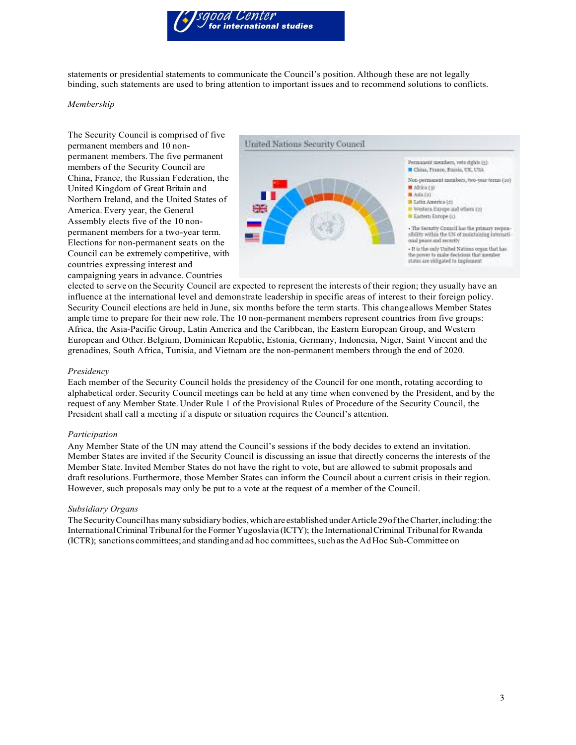

statements or presidential statements to communicate the Council's position. Although these are not legally binding, such statements are used to bring attention to important issues and to recommend solutions to conflicts.

#### *Membership*

The Security Council is comprised of five permanent members and 10 nonpermanent members. The five permanent members of the Security Council are China, France, the Russian Federation, the United Kingdom of Great Britain and Northern Ireland, and the United States of America. Every year, the General Assembly elects five of the 10 nonpermanent members for a two-year term. Elections for non-permanent seats on the Council can be extremely competitive, with countries expressing interest and campaigning years in advance. Countries



elected to serve on the Security Council are expected to represent the interests of their region; they usually have an influence at the international level and demonstrate leadership in specific areas of interest to their foreign policy. Security Council elections are held in June, six months before the term starts. This changeallows Member States ample time to prepare for their new role. The 10 non-permanent members represent countries from five groups: Africa, the Asia-Pacific Group, Latin America and the Caribbean, the Eastern European Group, and Western European and Other.Belgium, Dominican Republic, Estonia, Germany, Indonesia, Niger, Saint Vincent and the grenadines, South Africa, Tunisia, and Vietnam are the non-permanent members through the end of 2020.

#### *Presidency*

Each member of the Security Council holds the presidency of the Council for one month, rotating according to alphabetical order. Security Council meetings can be held at any time when convened by the President, and by the request of any Member State. Under Rule 1 of the Provisional Rules of Procedure of the Security Council, the President shall call a meeting if a dispute or situation requires the Council's attention.

#### *Participation*

Any Member State of the UN may attend the Council's sessions if the body decides to extend an invitation. Member States are invited if the Security Council is discussing an issue that directly concerns the interests of the Member State.Invited Member States do not have the right to vote, but are allowed to submit proposals and draft resolutions. Furthermore, those Member States can inform the Council about a current crisis in their region. However, such proposals may only be put to a vote at the request of a member of the Council.

#### *Subsidiary Organs*

TheSecurityCouncilhas many subsidiary bodies,which are established underArticle29oftheCharter,including:the InternationalCriminal Tribunalfor the Former Yugoslavia (ICTY); the InternationalCriminal Tribunalfor Rwanda (ICTR); sanctions committees;and standingandad hoc committees,such as the AdHoc Sub-Committee on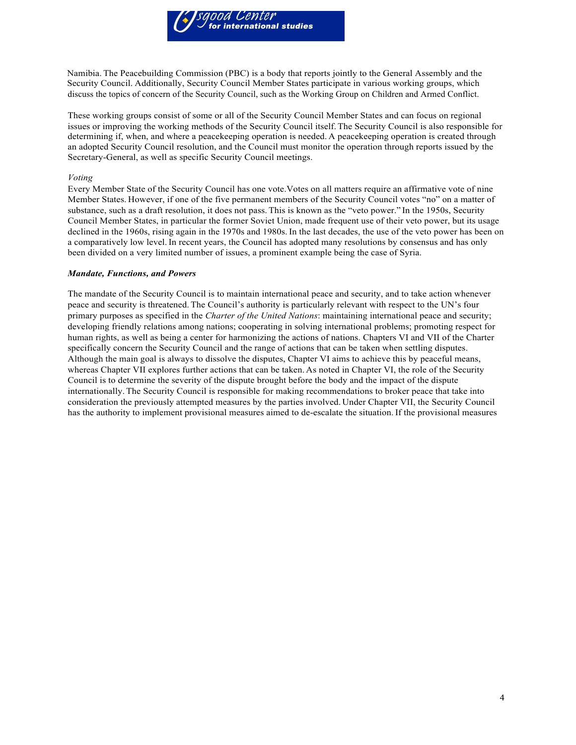

Namibia. The Peacebuilding Commission (PBC) is a body that reports jointly to the General Assembly and the Security Council. Additionally, Security Council Member States participate in various working groups, which discuss the topics of concern of the Security Council, such as the Working Group on Children and Armed Conflict.

These working groups consist of some or all of the Security Council Member States and can focus on regional issues or improving the working methods of the Security Council itself.The Security Council is also responsible for determining if, when, and where a peacekeeping operation is needed. A peacekeeping operation is created through an adopted Security Council resolution, and the Council must monitor the operation through reports issued by the Secretary-General, as well as specific Security Council meetings.

#### *Voting*

Every Member State of the Security Council has one vote.Votes on all matters require an affirmative vote of nine Member States. However, if one of the five permanent members of the Security Council votes "no" on a matter of substance, such as a draft resolution, it does not pass. This is known as the "veto power." In the 1950s, Security Council Member States, in particular the former Soviet Union, made frequent use of their veto power, but its usage declined in the 1960s, rising again in the 1970s and 1980s. In the last decades, the use of the veto power has been on a comparatively low level. In recent years, the Council has adopted many resolutions by consensus and has only been divided on a very limited number of issues, a prominent example being the case of Syria.

#### *Mandate, Functions, and Powers*

The mandate of the Security Council is to maintain international peace and security, and to take action whenever peace and security is threatened. The Council's authority is particularly relevant with respect to the UN's four primary purposes as specified in the *Charter of the United Nations*: maintaining international peace and security; developing friendly relations among nations; cooperating in solving international problems; promoting respect for human rights, as well as being a center for harmonizing the actions of nations. Chapters VI and VII of the Charter specifically concern the Security Council and the range of actions that can be taken when settling disputes. Although the main goal is always to dissolve the disputes, Chapter VI aims to achieve this by peaceful means, whereas Chapter VII explores further actions that can be taken. As noted in Chapter VI, the role of the Security Council is to determine the severity of the dispute brought before the body and the impact of the dispute internationally. The Security Council is responsible for making recommendations to broker peace that take into consideration the previously attempted measures by the parties involved. Under Chapter VII, the Security Council has the authority to implement provisional measures aimed to de-escalate the situation. If the provisional measures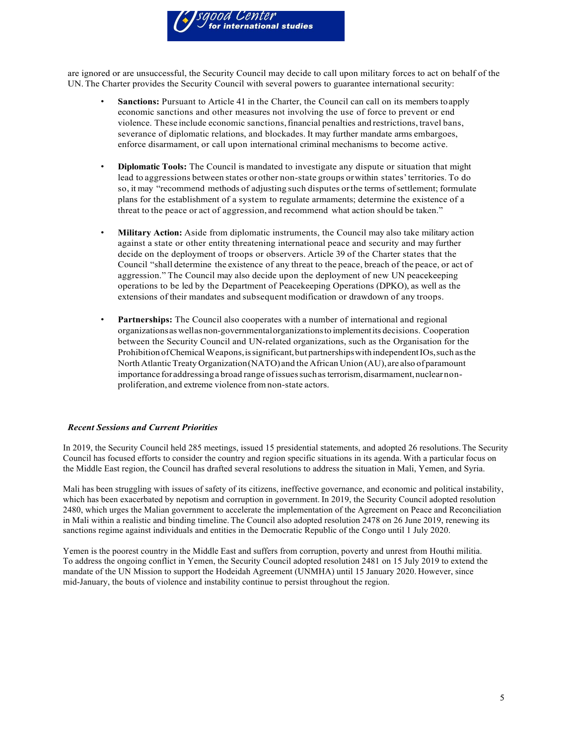

are ignored or are unsuccessful, the Security Council may decide to call upon military forces to act on behalf of the UN. The Charter provides the Security Council with several powers to guarantee international security:

- **Sanctions:** Pursuant to Article 41 in the Charter, the Council can call on its members to apply economic sanctions and other measures not involving the use of force to prevent or end violence. These include economic sanctions,financial penalties and restrictions, travel bans, severance of diplomatic relations, and blockades. It may further mandate arms embargoes, enforce disarmament, or call upon international criminal mechanisms to become active.
- **Diplomatic Tools:** The Council is mandated to investigate any dispute or situation that might lead to aggressions between states orother non-state groups orwithin states'territories. To do so, it may "recommend methods of adjusting such disputes orthe terms ofsettlement; formulate plans for the establishment of a system to regulate armaments; determine the existence of a threat to the peace or act of aggression, and recommend what action should be taken."
- **Military Action:** Aside from diplomatic instruments, the Council may also take military action against a state or other entity threatening international peace and security and may further decide on the deployment of troops or observers. Article 39 of the Charter states that the Council "shall determine the existence of any threat to the peace, breach of the peace, or act of aggression." The Council may also decide upon the deployment of new UN peacekeeping operations to be led by the Department of Peacekeeping Operations (DPKO), as well as the extensions of their mandates and subsequent modification or drawdown of any troops.
- **Partnerships:** The Council also cooperates with a number of international and regional organizationsas wellas non-governmentalorganizationsto implementits decisions. Cooperation between the Security Council and UN-related organizations, such as the Organisation for the Prohibition of Chemical Weapons, is significant, but partnerships with independent IOs, such as the North Atlantic Treaty Organization (NATO) and the African Union (AU), are also of paramount importance foraddressinga broad range ofissuessuchasterrorism,disarmament,nuclearnonproliferation, and extreme violence fromnon-state actors.

#### *Recent Sessions and Current Priorities*

In 2019, the Security Council held 285 meetings, issued 15 presidential statements, and adopted 26 resolutions.The Security Council has focused efforts to consider the country and region specific situations in its agenda. With a particular focus on the Middle East region, the Council has drafted several resolutions to address the situation in Mali, Yemen, and Syria.

Mali has been struggling with issues of safety of its citizens, ineffective governance, and economic and political instability, which has been exacerbated by nepotism and corruption in government. In 2019, the Security Council adopted resolution 2480, which urges the Malian government to accelerate the implementation of the Agreement on Peace and Reconciliation in Mali within a realistic and binding timeline. The Council also adopted resolution 2478 on 26 June 2019, renewing its sanctions regime against individuals and entities in the Democratic Republic of the Congo until 1 July 2020.

Yemen is the poorest country in the Middle East and suffers from corruption, poverty and unrest from Houthi militia. To address the ongoing conflict in Yemen, the Security Council adopted resolution 2481 on 15 July 2019 to extend the mandate of the UN Mission to support the Hodeidah Agreement (UNMHA) until 15 January 2020. However, since mid-January, the bouts of violence and instability continue to persist throughout the region.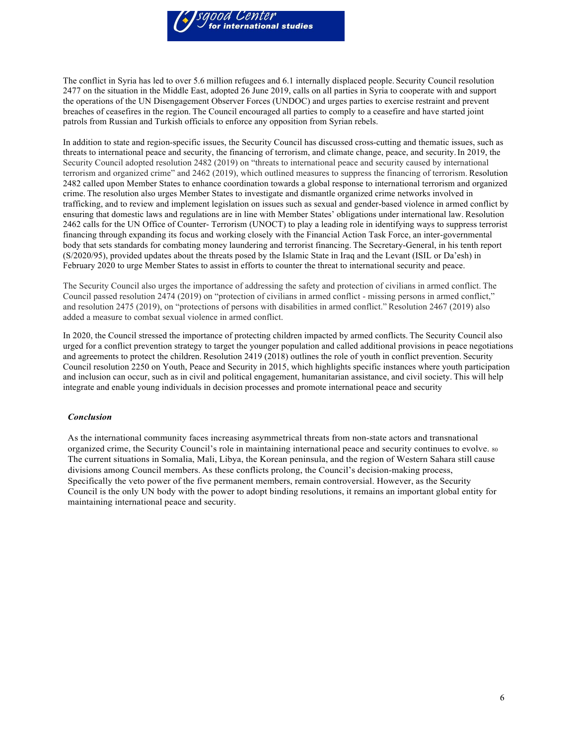

The conflict in Syria has led to over 5.6 million refugees and 6.1 internally displaced people. Security Council resolution 2477 on the situation in the Middle East, adopted 26 June 2019, calls on all parties in Syria to cooperate with and support the operations of the UN Disengagement Observer Forces (UNDOC) and urges parties to exercise restraint and prevent breaches of ceasefires in the region. The Council encouraged all parties to comply to a ceasefire and have started joint patrols from Russian and Turkish officials to enforce any opposition from Syrian rebels.

In addition to state and region-specific issues, the Security Council has discussed cross-cutting and thematic issues, such as threats to international peace and security, the financing of terrorism, and climate change, peace, and security.In 2019, the Security Council adopted resolution 2482 (2019) on "threats to international peace and security caused by international terrorism and organized crime" and 2462 (2019), which outlined measures to suppress the financing of terrorism. Resolution 2482 called upon Member States to enhance coordination towards a global response to international terrorism and organized crime. The resolution also urges Member States to investigate and dismantle organized crime networks involved in trafficking, and to review and implement legislation on issues such as sexual and gender-based violence in armed conflict by ensuring that domestic laws and regulations are in line with Member States' obligations under international law. Resolution 2462 calls for the UN Office of Counter- Terrorism (UNOCT) to play a leading role in identifying ways to suppress terrorist financing through expanding its focus and working closely with the Financial Action Task Force, an inter-governmental body that sets standards for combating money laundering and terrorist financing. The Secretary-General, in his tenth report (S/2020/95), provided updates about the threats posed by the Islamic State in Iraq and the Levant (ISIL or Da'esh) in February 2020 to urge Member States to assist in efforts to counter the threat to international security and peace.

The Security Council also urges the importance of addressing the safety and protection of civilians in armed conflict. The Council passed resolution 2474 (2019) on "protection of civilians in armed conflict - missing persons in armed conflict," and resolution 2475 (2019), on "protections of persons with disabilities in armed conflict." Resolution 2467 (2019) also added a measure to combat sexual violence in armed conflict.

In 2020, the Council stressed the importance of protecting children impacted by armed conflicts. The Security Council also urged for a conflict prevention strategy to target the younger population and called additional provisions in peace negotiations and agreements to protect the children. Resolution 2419 (2018) outlines the role of youth in conflict prevention. Security Council resolution 2250 on Youth, Peace and Security in 2015, which highlights specific instances where youth participation and inclusion can occur, such as in civil and political engagement, humanitarian assistance, and civil society. This will help integrate and enable young individuals in decision processes and promote international peace and security

#### *Conclusion*

As the international community faces increasing asymmetrical threats from non-state actors and transnational organized crime, the Security Council's role in maintaining international peace and security continues to evolve. 80 The current situations in Somalia, Mali, Libya, the Korean peninsula, and the region of Western Sahara still cause divisions among Council members. As these conflicts prolong, the Council's decision-making process, Specifically the veto power of the five permanent members, remain controversial. However, as the Security Council is the only UN body with the power to adopt binding resolutions, it remains an important global entity for maintaining international peace and security.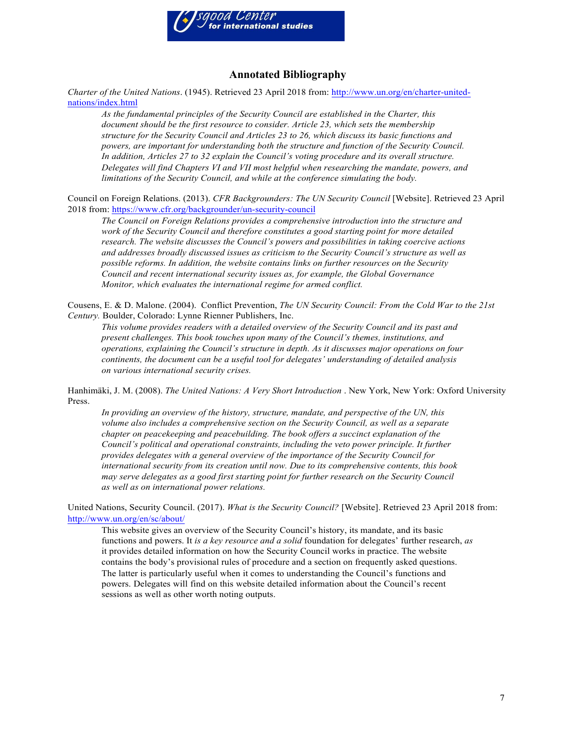

## **Annotated Bibliography**

*Charter of the United Nations*. (1945). Retrieved 23 April 2018 from: http://www.un.org/en/charter-unitednations/index.html

*As the fundamental principles of the Security Council are established in the Charter, this document should be the first resource to consider. Article 23, which sets the membership structure for the Security Council and Articles 23 to 26, which discuss its basic functions and powers, are important for understanding both the structure and function of the Security Council. In addition, Articles 27 to 32 explain the Council's voting procedure and its overall structure. Delegates will find Chapters VI and VII most helpful when researching the mandate, powers, and limitations of the Security Council, and while at the conference simulating the body.*

Council on Foreign Relations. (2013). *CFR Backgrounders: The UN Security Council* [Website]. Retrieved 23 April 2018 from: https://www.cfr.org/backgrounder/un-security-council

*The Council on Foreign Relations provides a comprehensive introduction into the structure and work of the Security Council and therefore constitutes a good starting point for more detailed research. The website discusses the Council's powers and possibilities in taking coercive actions and addresses broadly discussed issues as criticism to the Security Council's structure as well as possible reforms. In addition, the website contains links on further resources on the Security Council and recent international security issues as, for example, the Global Governance Monitor, which evaluates the international regime for armed conflict.*

Cousens, E. & D. Malone. (2004). Conflict Prevention, *The UN Security Council: From the Cold War to the 21st Century.* Boulder, Colorado: Lynne Rienner Publishers, Inc.

*This volume provides readers with a detailed overview of the Security Council and its past and present challenges. This book touches upon many of the Council's themes, institutions, and operations, explaining the Council's structure in depth. As it discusses major operations on four continents, the document can be a useful tool for delegates' understanding of detailed analysis on various international security crises.*

Hanhimäki, J. M. (2008). *The United Nations: A Very Short Introduction* . New York, New York: Oxford University Press.

*In providing an overview of the history, structure, mandate, and perspective of the UN, this volume also includes a comprehensive section on the Security Council, as well as a separate chapter on peacekeeping and peacebuilding. The book offers a succinct explanation of the Council's political and operational constraints, including the veto power principle. It further provides delegates with a general overview of the importance of the Security Council for international security from its creation until now. Due to its comprehensive contents, this book may serve delegates as a good first starting point for further research on the Security Council as well as on international power relations.*

United Nations, Security Council. (2017). *What is the Security Council?* [Website]. Retrieved 23 April 2018 from: http://www.un.org/en/sc/about/

This website gives an overview of the Security Council's history, its mandate, and its basic functions and powers. It *is a key resource and a solid* foundation for delegates' further research, *as*  it provides detailed information on how the Security Council works in practice. The website contains the body's provisional rules of procedure and a section on frequently asked questions. The latter is particularly useful when it comes to understanding the Council's functions and powers. Delegates will find on this website detailed information about the Council's recent sessions as well as other worth noting outputs.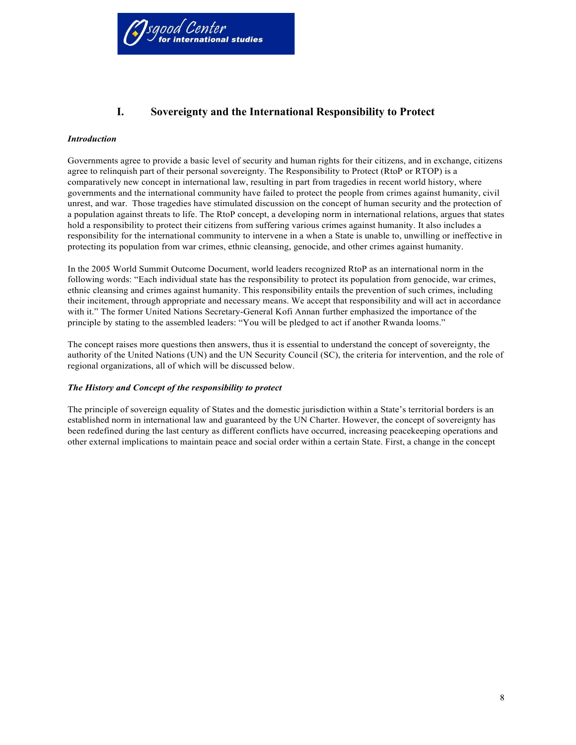

# **I. Sovereignty and the International Responsibility to Protect**

#### *Introduction*

Governments agree to provide a basic level of security and human rights for their citizens, and in exchange, citizens agree to relinquish part of their personal sovereignty. The Responsibility to Protect (RtoP or RTOP) is a comparatively new concept in international law, resulting in part from tragedies in recent world history, where governments and the international community have failed to protect the people from crimes against humanity, civil unrest, and war. Those tragedies have stimulated discussion on the concept of human security and the protection of a population against threats to life. The RtoP concept, a developing norm in international relations, argues that states hold a responsibility to protect their citizens from suffering various crimes against humanity. It also includes a responsibility for the international community to intervene in a when a State is unable to, unwilling or ineffective in protecting its population from war crimes, ethnic cleansing, genocide, and other crimes against humanity.

In the 2005 World Summit Outcome Document, world leaders recognized RtoP as an international norm in the following words: "Each individual state has the responsibility to protect its population from genocide, war crimes, ethnic cleansing and crimes against humanity. This responsibility entails the prevention of such crimes, including their incitement, through appropriate and necessary means. We accept that responsibility and will act in accordance with it." The former United Nations Secretary-General Kofi Annan further emphasized the importance of the principle by stating to the assembled leaders: "You will be pledged to act if another Rwanda looms."

The concept raises more questions then answers, thus it is essential to understand the concept of sovereignty, the authority of the United Nations (UN) and the UN Security Council (SC), the criteria for intervention, and the role of regional organizations, all of which will be discussed below.

## *The History and Concept of the responsibility to protect*

The principle of sovereign equality of States and the domestic jurisdiction within a State's territorial borders is an established norm in international law and guaranteed by the UN Charter. However, the concept of sovereignty has been redefined during the last century as different conflicts have occurred, increasing peacekeeping operations and other external implications to maintain peace and social order within a certain State. First, a change in the concept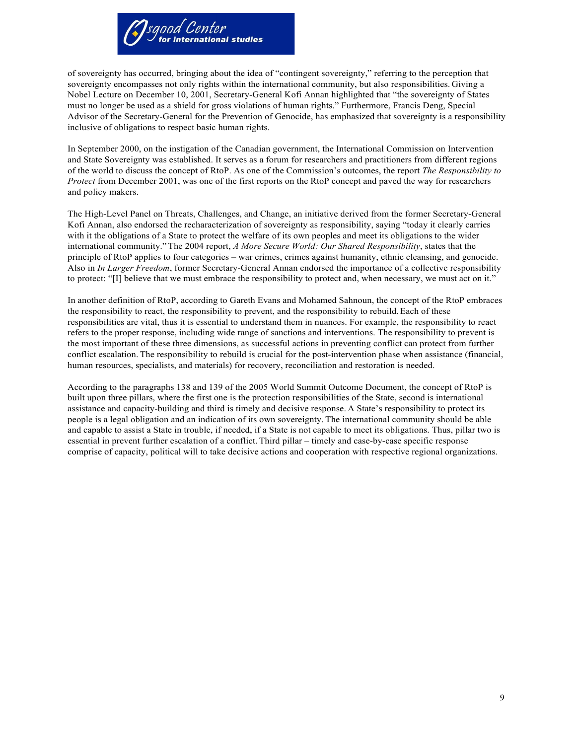

of sovereignty has occurred, bringing about the idea of "contingent sovereignty," referring to the perception that sovereignty encompasses not only rights within the international community, but also responsibilities. Giving a Nobel Lecture on December 10, 2001, Secretary-General Kofi Annan highlighted that "the sovereignty of States must no longer be used as a shield for gross violations of human rights." Furthermore, Francis Deng, Special Advisor of the Secretary-General for the Prevention of Genocide, has emphasized that sovereignty is a responsibility inclusive of obligations to respect basic human rights.

In September 2000, on the instigation of the Canadian government, the International Commission on Intervention and State Sovereignty was established. It serves as a forum for researchers and practitioners from different regions of the world to discuss the concept of RtoP. As one of the Commission's outcomes, the report *The Responsibility to Protect* from December 2001, was one of the first reports on the RtoP concept and paved the way for researchers and policy makers.

The High-Level Panel on Threats, Challenges, and Change, an initiative derived from the former Secretary-General Kofi Annan, also endorsed the recharacterization of sovereignty as responsibility, saying "today it clearly carries with it the obligations of a State to protect the welfare of its own peoples and meet its obligations to the wider international community." The 2004 report, *A More Secure World: Our Shared Responsibility*, states that the principle of RtoP applies to four categories – war crimes, crimes against humanity, ethnic cleansing, and genocide. Also in *In Larger Freedom*, former Secretary-General Annan endorsed the importance of a collective responsibility to protect: "[I] believe that we must embrace the responsibility to protect and, when necessary, we must act on it."

In another definition of RtoP, according to Gareth Evans and Mohamed Sahnoun, the concept of the RtoP embraces the responsibility to react, the responsibility to prevent, and the responsibility to rebuild.Each of these responsibilities are vital, thus it is essential to understand them in nuances. For example, the responsibility to react refers to the proper response, including wide range of sanctions and interventions. The responsibility to prevent is the most important of these three dimensions, as successful actions in preventing conflict can protect from further conflict escalation. The responsibility to rebuild is crucial for the post-intervention phase when assistance (financial, human resources, specialists, and materials) for recovery, reconciliation and restoration is needed.

According to the paragraphs 138 and 139 of the 2005 World Summit Outcome Document, the concept of RtoP is built upon three pillars, where the first one is the protection responsibilities of the State, second is international assistance and capacity-building and third is timely and decisive response. A State's responsibility to protect its people is a legal obligation and an indication of its own sovereignty. The international community should be able and capable to assist a State in trouble, if needed, if a State is not capable to meet its obligations. Thus, pillar two is essential in prevent further escalation of a conflict. Third pillar – timely and case-by-case specific response comprise of capacity, political will to take decisive actions and cooperation with respective regional organizations.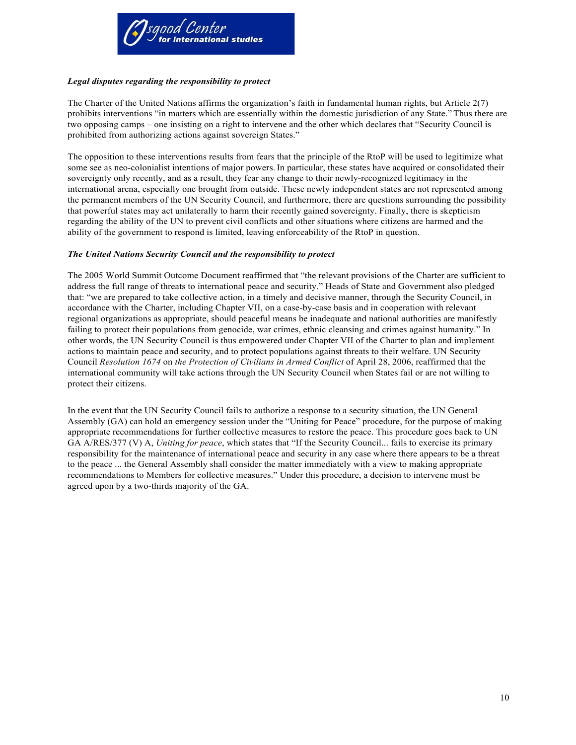

## *Legal disputes regarding the responsibility to protect*

The Charter of the United Nations affirms the organization's faith in fundamental human rights, but Article 2(7) prohibits interventions "in matters which are essentially within the domestic jurisdiction of any State." Thus there are two opposing camps – one insisting on a right to intervene and the other which declares that "Security Council is prohibited from authorizing actions against sovereign States."

The opposition to these interventions results from fears that the principle of the RtoP will be used to legitimize what some see as neo-colonialist intentions of major powers. In particular, these states have acquired or consolidated their sovereignty only recently, and as a result, they fear any change to their newly-recognized legitimacy in the international arena, especially one brought from outside. These newly independent states are not represented among the permanent members of the UN Security Council, and furthermore, there are questions surrounding the possibility that powerful states may act unilaterally to harm their recently gained sovereignty. Finally, there is skepticism regarding the ability of the UN to prevent civil conflicts and other situations where citizens are harmed and the ability of the government to respond is limited, leaving enforceability of the RtoP in question.

## *The United Nations Security Council and the responsibility to protect*

The 2005 World Summit Outcome Document reaffirmed that "the relevant provisions of the Charter are sufficient to address the full range of threats to international peace and security." Heads of State and Government also pledged that: "we are prepared to take collective action, in a timely and decisive manner, through the Security Council, in accordance with the Charter, including Chapter VII, on a case-by-case basis and in cooperation with relevant regional organizations as appropriate, should peaceful means be inadequate and national authorities are manifestly failing to protect their populations from genocide, war crimes, ethnic cleansing and crimes against humanity." In other words, the UN Security Council is thus empowered under Chapter VII of the Charter to plan and implement actions to maintain peace and security, and to protect populations against threats to their welfare. UN Security Council *Resolution 1674* on *the Protection of Civilians in Armed Conflict* of April 28, 2006, reaffirmed that the international community will take actions through the UN Security Council when States fail or are not willing to protect their citizens.

In the event that the UN Security Council fails to authorize a response to a security situation, the UN General Assembly (GA) can hold an emergency session under the "Uniting for Peace" procedure, for the purpose of making appropriate recommendations for further collective measures to restore the peace. This procedure goes back to UN GA A/RES/377 (V) A, *Uniting for peace*, which states that "If the Security Council... fails to exercise its primary responsibility for the maintenance of international peace and security in any case where there appears to be a threat to the peace ... the General Assembly shall consider the matter immediately with a view to making appropriate recommendations to Members for collective measures." Under this procedure, a decision to intervene must be agreed upon by a two-thirds majority of the GA.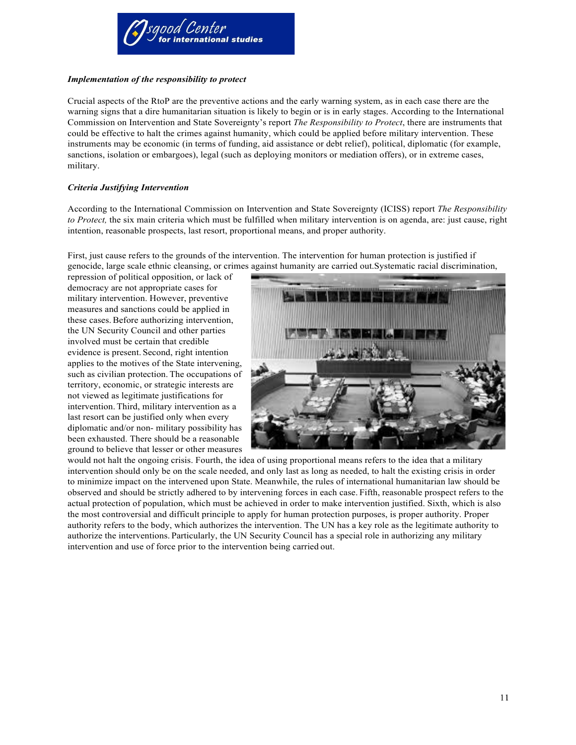

## *Implementation of the responsibility to protect*

Crucial aspects of the RtoP are the preventive actions and the early warning system, as in each case there are the warning signs that a dire humanitarian situation is likely to begin or is in early stages. According to the International Commission on Intervention and State Sovereignty's report *The Responsibility to Protect*, there are instruments that could be effective to halt the crimes against humanity, which could be applied before military intervention. These instruments may be economic (in terms of funding, aid assistance or debt relief), political, diplomatic (for example, sanctions, isolation or embargoes), legal (such as deploying monitors or mediation offers), or in extreme cases, military.

## *Criteria Justifying Intervention*

According to the International Commission on Intervention and State Sovereignty (ICISS) report *The Responsibility to Protect,* the six main criteria which must be fulfilled when military intervention is on agenda, are: just cause, right intention, reasonable prospects, last resort, proportional means, and proper authority.

First, just cause refers to the grounds of the intervention. The intervention for human protection is justified if genocide, large scale ethnic cleansing, or crimes against humanity are carried out.Systematic racial discrimination,

repression of political opposition, or lack of democracy are not appropriate cases for military intervention. However, preventive measures and sanctions could be applied in these cases.Before authorizing intervention, the UN Security Council and other parties involved must be certain that credible evidence is present. Second, right intention applies to the motives of the State intervening, such as civilian protection. The occupations of territory, economic, or strategic interests are not viewed as legitimate justifications for intervention. Third, military intervention as a last resort can be justified only when every diplomatic and/or non- military possibility has been exhausted. There should be a reasonable ground to believe that lesser or other measures



would not halt the ongoing crisis. Fourth, the idea of using proportional means refers to the idea that a military intervention should only be on the scale needed, and only last as long as needed, to halt the existing crisis in order to minimize impact on the intervened upon State. Meanwhile, the rules of international humanitarian law should be observed and should be strictly adhered to by intervening forces in each case. Fifth, reasonable prospect refers to the actual protection of population, which must be achieved in order to make intervention justified. Sixth, which is also the most controversial and difficult principle to apply for human protection purposes, is proper authority. Proper authority refers to the body, which authorizes the intervention. The UN has a key role as the legitimate authority to authorize the interventions. Particularly, the UN Security Council has a special role in authorizing any military intervention and use of force prior to the intervention being carried out.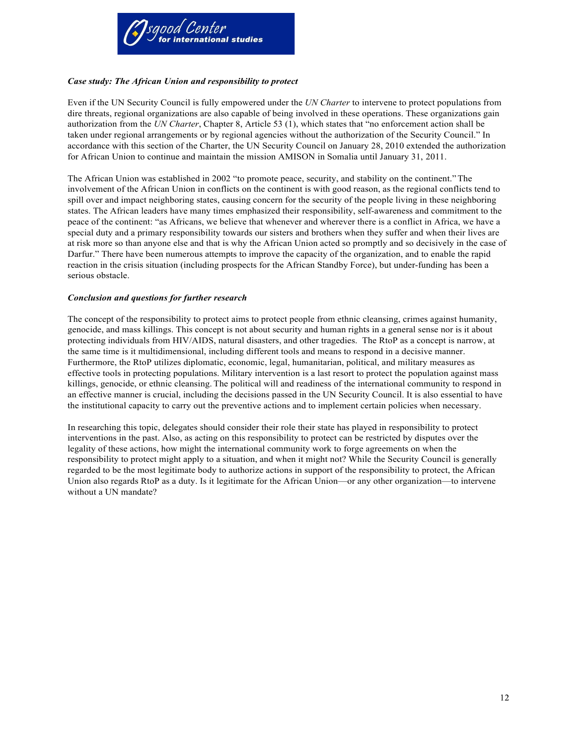

## *Case study: The African Union and responsibility to protect*

Even if the UN Security Council is fully empowered under the *UN Charter* to intervene to protect populations from dire threats, regional organizations are also capable of being involved in these operations. These organizations gain authorization from the *UN Charter*, Chapter 8, Article 53 (1), which states that "no enforcement action shall be taken under regional arrangements or by regional agencies without the authorization of the Security Council." In accordance with this section of the Charter, the UN Security Council on January 28, 2010 extended the authorization for African Union to continue and maintain the mission AMISON in Somalia until January 31, 2011.

The African Union was established in 2002 "to promote peace, security, and stability on the continent."The involvement of the African Union in conflicts on the continent is with good reason, as the regional conflicts tend to spill over and impact neighboring states, causing concern for the security of the people living in these neighboring states. The African leaders have many times emphasized their responsibility, self-awareness and commitment to the peace of the continent: "as Africans, we believe that whenever and wherever there is a conflict in Africa, we have a special duty and a primary responsibility towards our sisters and brothers when they suffer and when their lives are at risk more so than anyone else and that is why the African Union acted so promptly and so decisively in the case of Darfur." There have been numerous attempts to improve the capacity of the organization, and to enable the rapid reaction in the crisis situation (including prospects for the African Standby Force), but under-funding has been a serious obstacle.

## *Conclusion and questions for further research*

The concept of the responsibility to protect aims to protect people from ethnic cleansing, crimes against humanity, genocide, and mass killings. This concept is not about security and human rights in a general sense nor is it about protecting individuals from HIV/AIDS, natural disasters, and other tragedies. The RtoP as a concept is narrow, at the same time is it multidimensional, including different tools and means to respond in a decisive manner. Furthermore, the RtoP utilizes diplomatic, economic, legal, humanitarian, political, and military measures as effective tools in protecting populations. Military intervention is a last resort to protect the population against mass killings, genocide, or ethnic cleansing. The political will and readiness of the international community to respond in an effective manner is crucial, including the decisions passed in the UN Security Council. It is also essential to have the institutional capacity to carry out the preventive actions and to implement certain policies when necessary.

In researching this topic, delegates should consider their role their state has played in responsibility to protect interventions in the past. Also, as acting on this responsibility to protect can be restricted by disputes over the legality of these actions, how might the international community work to forge agreements on when the responsibility to protect might apply to a situation, and when it might not? While the Security Council is generally regarded to be the most legitimate body to authorize actions in support of the responsibility to protect, the African Union also regards RtoP as a duty. Is it legitimate for the African Union—or any other organization—to intervene without a UN mandate?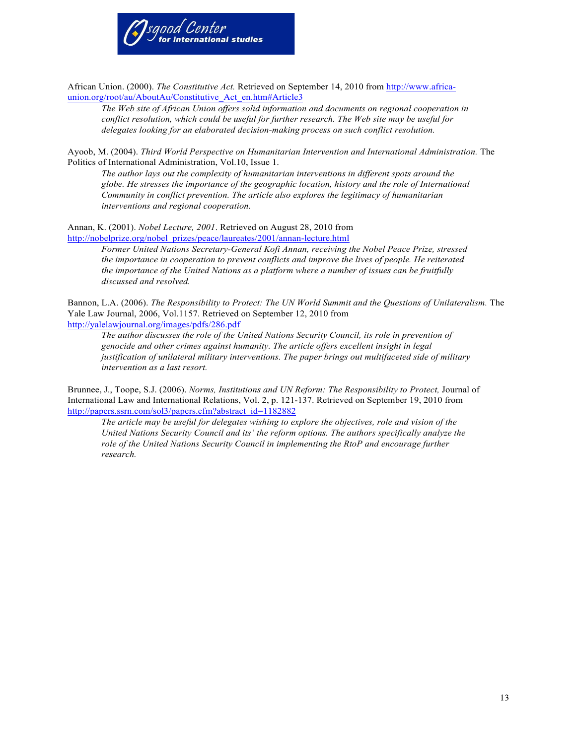

African Union. (2000). *The Constitutive Act.* Retrieved on September 14, 2010 from http://www.africaunion.org/root/au/AboutAu/Constitutive Act en.htm#Article3

*The Web site of African Union offers solid information and documents on regional cooperation in conflict resolution, which could be useful for further research. The Web site may be useful for delegates looking for an elaborated decision-making process on such conflict resolution.*

Ayoob, M. (2004). *Third World Perspective on Humanitarian Intervention and International Administration.* The Politics of International Administration, Vol.10, Issue 1.

*The author lays out the complexity of humanitarian interventions in different spots around the globe. He stresses the importance of the geographic location, history and the role of International Community in conflict prevention. The article also explores the legitimacy of humanitarian interventions and regional cooperation.*

Annan, K. (2001). *Nobel Lecture, 2001*. Retrieved on August 28, 2010 from http://nobelprize.org/nobel\_prizes/peace/laureates/2001/annan-lecture.html

> *Former United Nations Secretary-General Kofi Annan, receiving the Nobel Peace Prize, stressed the importance in cooperation to prevent conflicts and improve the lives of people. He reiterated the importance of the United Nations as a platform where a number of issues can be fruitfully discussed and resolved.*

Bannon, L.A. (2006). *The Responsibility to Protect: The UN World Summit and the Questions of Unilateralism*. The Yale Law Journal, 2006, Vol.1157. Retrieved on September 12, 2010 from http://yalelawjournal.org/images/pdfs/286.pdf

*The author discusses the role of the United Nations Security Council, its role in prevention of genocide and other crimes against humanity. The article offers excellent insight in legal justification of unilateral military interventions. The paper brings out multifaceted side of military intervention as a last resort.*

Brunnee, J., Toope, S.J. (2006). *Norms, Institutions and UN Reform: The Responsibility to Protect,* Journal of International Law and International Relations, Vol. 2, p. 121-137. Retrieved on September 19, 2010 from http://papers.ssrn.com/sol3/papers.cfm?abstract\_id=1182882

*The article may be useful for delegates wishing to explore the objectives, role and vision of the United Nations Security Council and its' the reform options. The authors specifically analyze the role of the United Nations Security Council in implementing the RtoP and encourage further research.*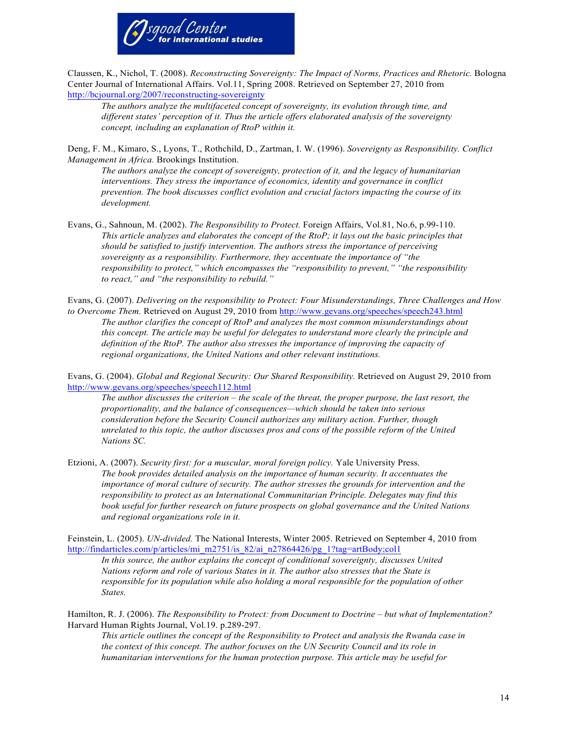

Claussen, K., Nichol, T. (2008). *Reconstructing Sovereignty: The Impact of Norms, Practices and Rhetoric.* Bologna Center Journal of International Affairs. Vol.11, Spring 2008. Retrieved on September 27, 2010 from http://bcjournal.org/2007/reconstructing-sovereignty

*The authors analyze the multifaceted concept of sovereignty, its evolution through time, and different states' perception of it. Thus the article offers elaborated analysis of the sovereignty concept, including an explanation of RtoP within it.*

Deng, F. M., Kimaro, S., Lyons, T., Rothchild, D., Zartman, I. W. (1996). *Sovereignty as Responsibility. Conflict Management in Africa.* Brookings Institution.

*The authors analyze the concept of sovereignty, protection of it, and the legacy of humanitarian interventions. They stress the importance of economics, identity and governance in conflict prevention. The book discusses conflict evolution and crucial factors impacting the course of its development.*

Evans, G., Sahnoun, M. (2002). *The Responsibility to Protect.* Foreign Affairs, Vol.81, No.6, p.99-110. *This article analyzes and elaborates the concept of the RtoP; it lays out the basic principles that should be satisfied to justify intervention. The authors stress the importance of perceiving sovereignty as a responsibility. Furthermore, they accentuate the importance of "the responsibility to protect," which encompasses the "responsibility to prevent," "the responsibility to react," and "the responsibility to rebuild."*

Evans, G. (2007). *Delivering on the responsibility to Protect: Four Misunderstandings, Three Challenges and How to Overcome Them.* Retrieved on August 29, 2010 from http://www.gevans.org/speeches/speech243.html *The author clarifies the concept of RtoP and analyzes the most common misunderstandings about* 

*this concept. The article may be useful for delegates to understand more clearly the principle and definition of the RtoP. The author also stresses the importance of improving the capacity of regional organizations, the United Nations and other relevant institutions.*

Evans, G. (2004). *Global and Regional Security: Our Shared Responsibility.* Retrieved on August 29, 2010 from http://www.gevans.org/speeches/speech112.html

*The author discusses the criterion – the scale of the threat, the proper purpose, the last resort, the proportionality, and the balance of consequences—which should be taken into serious consideration before the Security Council authorizes any military action. Further, though unrelated to this topic, the author discusses pros and cons of the possible reform of the United Nations SC.*

Etzioni, A. (2007). *Security first: for a muscular, moral foreign policy.* Yale University Press. *The book provides detailed analysis on the importance of human security. It accentuates the importance of moral culture of security. The author stresses the grounds for intervention and the responsibility to protect as an International Communitarian Principle. Delegates may find this book useful for further research on future prospects on global governance and the United Nations and regional organizations role in it.*

Feinstein, L. (2005). *UN-divided.* The National Interests, Winter 2005. Retrieved on September 4, 2010 from http://findarticles.com/p/articles/mi\_m2751/is\_82/ai\_n27864426/pg\_1?tag=artBody;col1

*In this source, the author explains the concept of conditional sovereignty, discusses United Nations reform and role of various States in it. The author also stresses that the State is responsible for its population while also holding a moral responsible for the population of other States.*

Hamilton, R. J. (2006). *The Responsibility to Protect: from Document to Doctrine – but what of Implementation?* Harvard Human Rights Journal, Vol.19. p.289-297.

*This article outlines the concept of the Responsibility to Protect and analysis the Rwanda case in the context of this concept. The author focuses on the UN Security Council and its role in humanitarian interventions for the human protection purpose. This article may be useful for*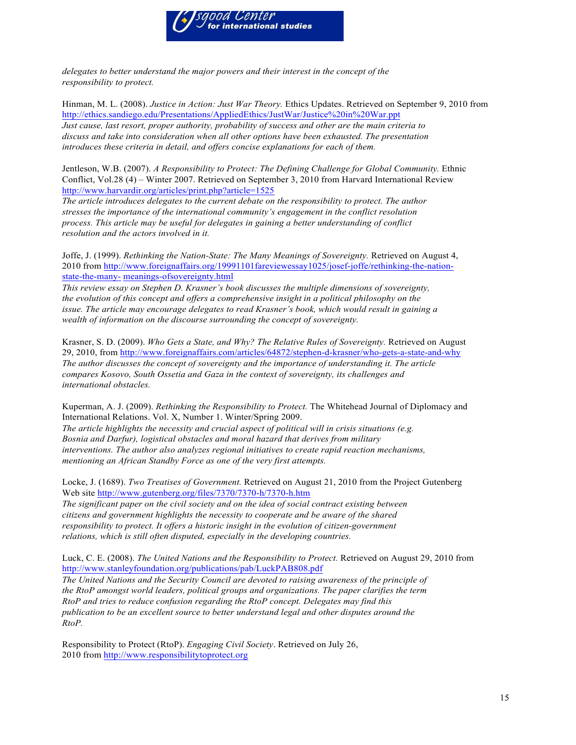

*delegates to better understand the major powers and their interest in the concept of the responsibility to protect.*

Hinman, M. L. (2008). *Justice in Action: Just War Theory.* Ethics Updates. Retrieved on September 9, 2010 from http://ethics.sandiego.edu/Presentations/AppliedEthics/JustWar/Justice%20in%20War.ppt *Just cause, last resort, proper authority, probability of success and other are the main criteria to discuss and take into consideration when all other options have been exhausted. The presentation introduces these criteria in detail, and offers concise explanations for each of them.*

Jentleson, W.B. (2007). *A Responsibility to Protect: The Defining Challenge for Global Community*. Ethnic Conflict, Vol.28 (4) – Winter 2007. Retrieved on September 3, 2010 from Harvard International Review http://www.harvardir.org/articles/print.php?article=1525

*The article introduces delegates to the current debate on the responsibility to protect. The author stresses the importance of the international community's engagement in the conflict resolution process. This article may be useful for delegates in gaining a better understanding of conflict resolution and the actors involved in it.*

Joffe, J. (1999). *Rethinking the Nation-State: The Many Meanings of Sovereignty.* Retrieved on August 4, 2010 from http://www.foreignaffairs.org/19991101fareviewessay1025/josef-joffe/rethinking-the-nationstate-the-many- meanings-ofsovereignty.html

*This review essay on Stephen D. Krasner's book discusses the multiple dimensions of sovereignty, the evolution of this concept and offers a comprehensive insight in a political philosophy on the issue. The article may encourage delegates to read Krasner's book, which would result in gaining a wealth of information on the discourse surrounding the concept of sovereignty.*

Krasner, S. D. (2009). *Who Gets a State, and Why? The Relative Rules of Sovereignty.* Retrieved on August 29, 2010, from http://www.foreignaffairs.com/articles/64872/stephen-d-krasner/who-gets-a-state-and-why *The author discusses the concept of sovereignty and the importance of understanding it. The article compares Kosovo, South Ossetia and Gaza in the context of sovereignty, its challenges and international obstacles.*

Kuperman, A. J. (2009). *Rethinking the Responsibility to Protect.* The Whitehead Journal of Diplomacy and International Relations. Vol. X, Number 1. Winter/Spring 2009. *The article highlights the necessity and crucial aspect of political will in crisis situations (e.g. Bosnia and Darfur), logistical obstacles and moral hazard that derives from military interventions. The author also analyzes regional initiatives to create rapid reaction mechanisms, mentioning an African Standby Force as one of the very first attempts.*

Locke, J. (1689). *Two Treatises of Government.* Retrieved on August 21, 2010 from the Project Gutenberg Web site http://www.gutenberg.org/files/7370/7370-h/7370-h.htm

*The significant paper on the civil society and on the idea of social contract existing between citizens and government highlights the necessity to cooperate and be aware of the shared responsibility to protect. It offers a historic insight in the evolution of citizen-government relations, which is still often disputed, especially in the developing countries.*

Luck, C. E. (2008). *The United Nations and the Responsibility to Protect.* Retrieved on August 29, 2010 from http://www.stanleyfoundation.org/publications/pab/LuckPAB808.pdf

*The United Nations and the Security Council are devoted to raising awareness of the principle of the RtoP amongst world leaders, political groups and organizations. The paper clarifies the term RtoP and tries to reduce confusion regarding the RtoP concept. Delegates may find this publication to be an excellent source to better understand legal and other disputes around the RtoP.*

Responsibility to Protect (RtoP). *Engaging Civil Society*. Retrieved on July 26, 2010 from http://www.responsibilitytoprotect.org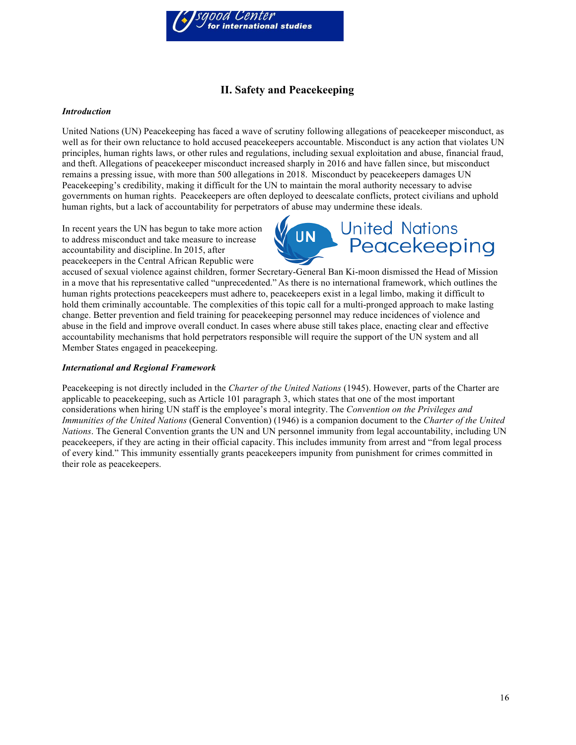

# **II. Safety and Peacekeeping**

## *Introduction*

United Nations (UN) Peacekeeping has faced a wave of scrutiny following allegations of peacekeeper misconduct, as well as for their own reluctance to hold accused peacekeepers accountable. Misconduct is any action that violates UN principles, human rights laws, or other rules and regulations, including sexual exploitation and abuse, financial fraud, and theft. Allegations of peacekeeper misconduct increased sharply in 2016 and have fallen since, but misconduct remains a pressing issue, with more than 500 allegations in 2018. Misconduct by peacekeepers damages UN Peacekeeping's credibility, making it difficult for the UN to maintain the moral authority necessary to advise governments on human rights. Peacekeepers are often deployed to deescalate conflicts, protect civilians and uphold human rights, but a lack of accountability for perpetrators of abuse may undermine these ideals.

In recent years the UN has begun to take more action to address misconduct and take measure to increase accountability and discipline. In 2015, after peacekeepers in the Central African Republic were



accused of sexual violence against children, former Secretary-General Ban Ki-moon dismissed the Head of Mission in a move that his representative called "unprecedented." As there is no international framework, which outlines the human rights protections peacekeepers must adhere to, peacekeepers exist in a legal limbo, making it difficult to hold them criminally accountable. The complexities of this topic call for a multi-pronged approach to make lasting change. Better prevention and field training for peacekeeping personnel may reduce incidences of violence and abuse in the field and improve overall conduct. In cases where abuse still takes place, enacting clear and effective accountability mechanisms that hold perpetrators responsible will require the support of the UN system and all Member States engaged in peacekeeping.

#### *International and Regional Framework*

Peacekeeping is not directly included in the *Charter of the United Nations* (1945). However, parts of the Charter are applicable to peacekeeping, such as Article 101 paragraph 3, which states that one of the most important considerations when hiring UN staff is the employee's moral integrity. The *Convention on the Privileges and Immunities of the United Nations* (General Convention) (1946) is a companion document to the *Charter of the United Nations*. The General Convention grants the UN and UN personnel immunity from legal accountability, including UN peacekeepers, if they are acting in their official capacity. This includes immunity from arrest and "from legal process of every kind." This immunity essentially grants peacekeepers impunity from punishment for crimes committed in their role as peacekeepers.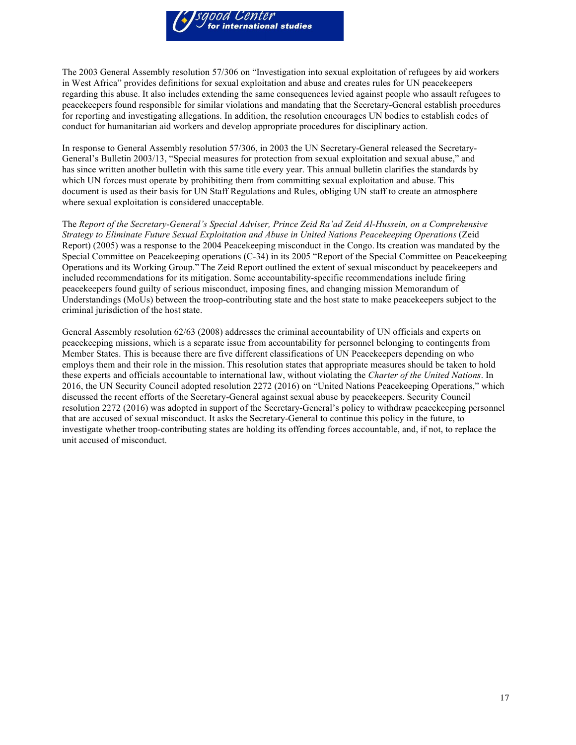

The 2003 General Assembly resolution 57/306 on "Investigation into sexual exploitation of refugees by aid workers in West Africa" provides definitions for sexual exploitation and abuse and creates rules for UN peacekeepers regarding this abuse. It also includes extending the same consequences levied against people who assault refugees to peacekeepers found responsible for similar violations and mandating that the Secretary-General establish procedures for reporting and investigating allegations. In addition, the resolution encourages UN bodies to establish codes of conduct for humanitarian aid workers and develop appropriate procedures for disciplinary action.

In response to General Assembly resolution 57/306, in 2003 the UN Secretary-General released the Secretary-General's Bulletin 2003/13, "Special measures for protection from sexual exploitation and sexual abuse," and has since written another bulletin with this same title every year. This annual bulletin clarifies the standards by which UN forces must operate by prohibiting them from committing sexual exploitation and abuse. This document is used as their basis for UN Staff Regulations and Rules, obliging UN staff to create an atmosphere where sexual exploitation is considered unacceptable.

The *Report of the Secretary-General's Special Adviser, Prince Zeid Ra'ad Zeid Al-Hussein, on a Comprehensive Strategy to Eliminate Future Sexual Exploitation and Abuse in United Nations Peacekeeping Operations* (Zeid Report) (2005) was a response to the 2004 Peacekeeping misconduct in the Congo. Its creation was mandated by the Special Committee on Peacekeeping operations (C-34) in its 2005 "Report of the Special Committee on Peacekeeping Operations and its Working Group." The Zeid Report outlined the extent of sexual misconduct by peacekeepers and included recommendations for its mitigation. Some accountability-specific recommendations include firing peacekeepers found guilty of serious misconduct, imposing fines, and changing mission Memorandum of Understandings (MoUs) between the troop-contributing state and the host state to make peacekeepers subject to the criminal jurisdiction of the host state.

General Assembly resolution 62/63 (2008) addresses the criminal accountability of UN officials and experts on peacekeeping missions, which is a separate issue from accountability for personnel belonging to contingents from Member States. This is because there are five different classifications of UN Peacekeepers depending on who employs them and their role in the mission. This resolution states that appropriate measures should be taken to hold these experts and officials accountable to international law, without violating the *Charter of the United Nations*. In 2016, the UN Security Council adopted resolution 2272 (2016) on "United Nations Peacekeeping Operations," which discussed the recent efforts of the Secretary-General against sexual abuse by peacekeepers. Security Council resolution 2272 (2016) was adopted in support of the Secretary-General's policy to withdraw peacekeeping personnel that are accused of sexual misconduct. It asks the Secretary-General to continue this policy in the future, to investigate whether troop-contributing states are holding its offending forces accountable, and, if not, to replace the unit accused of misconduct.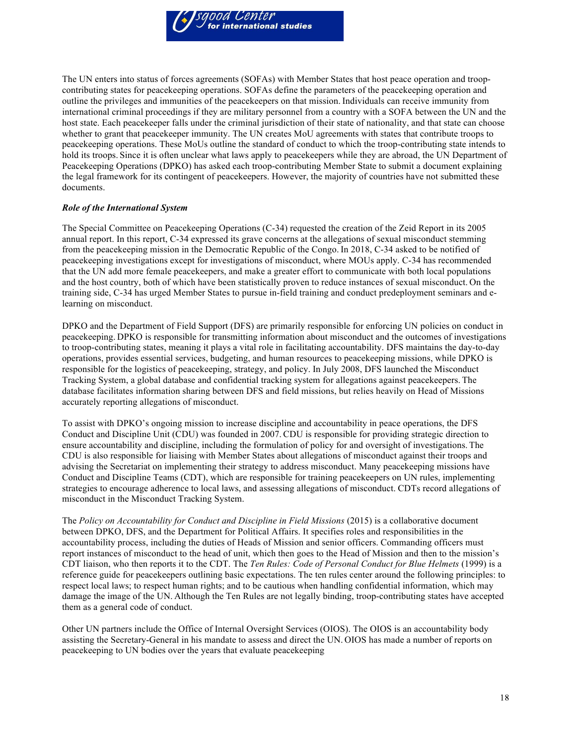

The UN enters into status of forces agreements (SOFAs) with Member States that host peace operation and troopcontributing states for peacekeeping operations. SOFAs define the parameters of the peacekeeping operation and outline the privileges and immunities of the peacekeepers on that mission. Individuals can receive immunity from international criminal proceedings if they are military personnel from a country with a SOFA between the UN and the host state. Each peacekeeper falls under the criminal jurisdiction of their state of nationality, and that state can choose whether to grant that peacekeeper immunity. The UN creates MoU agreements with states that contribute troops to peacekeeping operations. These MoUs outline the standard of conduct to which the troop-contributing state intends to hold its troops. Since it is often unclear what laws apply to peacekeepers while they are abroad, the UN Department of Peacekeeping Operations (DPKO) has asked each troop-contributing Member State to submit a document explaining the legal framework for its contingent of peacekeepers. However, the majority of countries have not submitted these documents.

## *Role of the International System*

The Special Committee on Peacekeeping Operations (C-34) requested the creation of the Zeid Report in its 2005 annual report. In this report, C-34 expressed its grave concerns at the allegations of sexual misconduct stemming from the peacekeeping mission in the Democratic Republic of the Congo. In 2018, C-34 asked to be notified of peacekeeping investigations except for investigations of misconduct, where MOUs apply. C-34 has recommended that the UN add more female peacekeepers, and make a greater effort to communicate with both local populations and the host country, both of which have been statistically proven to reduce instances of sexual misconduct. On the training side, C-34 has urged Member States to pursue in-field training and conduct predeployment seminars and elearning on misconduct.

DPKO and the Department of Field Support (DFS) are primarily responsible for enforcing UN policies on conduct in peacekeeping. DPKO is responsible for transmitting information about misconduct and the outcomes of investigations to troop-contributing states, meaning it plays a vital role in facilitating accountability. DFS maintains the day-to-day operations, provides essential services, budgeting, and human resources to peacekeeping missions, while DPKO is responsible for the logistics of peacekeeping, strategy, and policy. In July 2008, DFS launched the Misconduct Tracking System, a global database and confidential tracking system for allegations against peacekeepers. The database facilitates information sharing between DFS and field missions, but relies heavily on Head of Missions accurately reporting allegations of misconduct.

To assist with DPKO's ongoing mission to increase discipline and accountability in peace operations, the DFS Conduct and Discipline Unit (CDU) was founded in 2007. CDU is responsible for providing strategic direction to ensure accountability and discipline, including the formulation of policy for and oversight of investigations. The CDU is also responsible for liaising with Member States about allegations of misconduct against their troops and advising the Secretariat on implementing their strategy to address misconduct. Many peacekeeping missions have Conduct and Discipline Teams (CDT), which are responsible for training peacekeepers on UN rules, implementing strategies to encourage adherence to local laws, and assessing allegations of misconduct. CDTs record allegations of misconduct in the Misconduct Tracking System.

The *Policy on Accountability for Conduct and Discipline in Field Missions* (2015) is a collaborative document between DPKO, DFS, and the Department for Political Affairs. It specifies roles and responsibilities in the accountability process, including the duties of Heads of Mission and senior officers. Commanding officers must report instances of misconduct to the head of unit, which then goes to the Head of Mission and then to the mission's CDT liaison, who then reports it to the CDT. The *Ten Rules: Code of Personal Conduct for Blue Helmets* (1999) is a reference guide for peacekeepers outlining basic expectations. The ten rules center around the following principles: to respect local laws; to respect human rights; and to be cautious when handling confidential information, which may damage the image of the UN. Although the Ten Rules are not legally binding, troop-contributing states have accepted them as a general code of conduct.

Other UN partners include the Office of Internal Oversight Services (OIOS). The OIOS is an accountability body assisting the Secretary-General in his mandate to assess and direct the UN. OIOS has made a number of reports on peacekeeping to UN bodies over the years that evaluate peacekeeping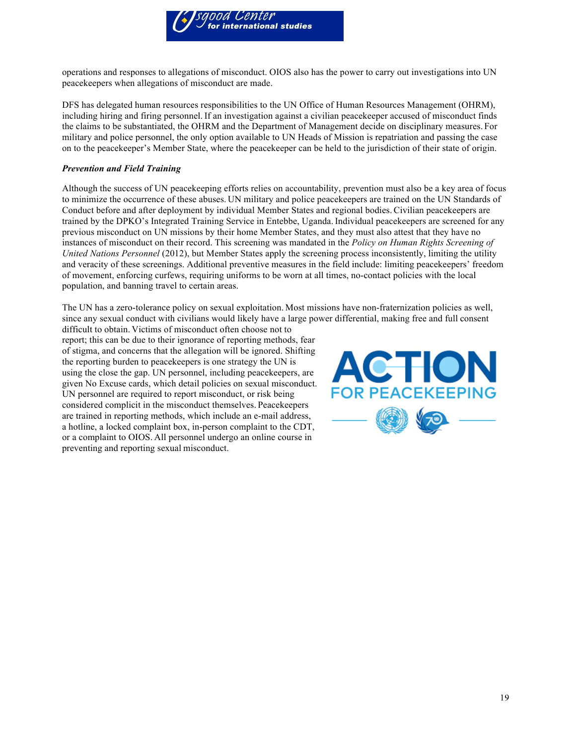

operations and responses to allegations of misconduct. OIOS also has the power to carry out investigations into UN peacekeepers when allegations of misconduct are made.

DFS has delegated human resources responsibilities to the UN Office of Human Resources Management (OHRM), including hiring and firing personnel. If an investigation against a civilian peacekeeper accused of misconduct finds the claims to be substantiated, the OHRM and the Department of Management decide on disciplinary measures. For military and police personnel, the only option available to UN Heads of Mission is repatriation and passing the case on to the peacekeeper's Member State, where the peacekeeper can be held to the jurisdiction of their state of origin.

## *Prevention and Field Training*

Although the success of UN peacekeeping efforts relies on accountability, prevention must also be a key area of focus to minimize the occurrence of these abuses. UN military and police peacekeepers are trained on the UN Standards of Conduct before and after deployment by individual Member States and regional bodies. Civilian peacekeepers are trained by the DPKO's Integrated Training Service in Entebbe, Uganda.Individual peacekeepers are screened for any previous misconduct on UN missions by their home Member States, and they must also attest that they have no instances of misconduct on their record. This screening was mandated in the *Policy on Human Rights Screening of United Nations Personnel* (2012), but Member States apply the screening process inconsistently, limiting the utility and veracity of these screenings. Additional preventive measures in the field include: limiting peacekeepers' freedom of movement, enforcing curfews, requiring uniforms to be worn at all times, no-contact policies with the local population, and banning travel to certain areas.

The UN has a zero-tolerance policy on sexual exploitation. Most missions have non-fraternization policies as well, since any sexual conduct with civilians would likely have a large power differential, making free and full consent

difficult to obtain. Victims of misconduct often choose not to report; this can be due to their ignorance of reporting methods, fear of stigma, and concerns that the allegation will be ignored. Shifting the reporting burden to peacekeepers is one strategy the UN is using the close the gap. UN personnel, including peacekeepers, are given No Excuse cards, which detail policies on sexual misconduct. UN personnel are required to report misconduct, or risk being considered complicit in the misconduct themselves. Peacekeepers are trained in reporting methods, which include an e-mail address, a hotline, a locked complaint box, in-person complaint to the CDT, or a complaint to OIOS. All personnel undergo an online course in preventing and reporting sexual misconduct.

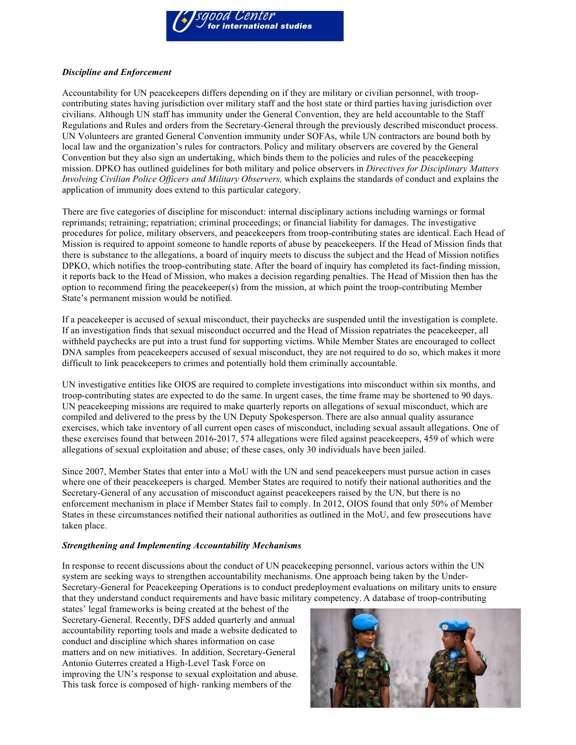

## *Discipline and Enforcement*

Accountability for UN peacekeepers differs depending on if they are military or civilian personnel, with troopcontributing states having jurisdiction over military staff and the host state or third parties having jurisdiction over civilians. Although UN staff has immunity under the General Convention, they are held accountable to the Staff Regulations and Rules and orders from the Secretary-General through the previously described misconduct process. UN Volunteers are granted General Convention immunity under SOFAs, while UN contractors are bound both by local law and the organization's rules for contractors. Policy and military observers are covered by the General Convention but they also sign an undertaking, which binds them to the policies and rules of the peacekeeping mission. DPKO has outlined guidelines for both military and police observers in *Directives for Disciplinary Matters Involving Civilian Police Officers and Military Observers,* which explains the standards of conduct and explains the application of immunity does extend to this particular category.

There are five categories of discipline for misconduct: internal disciplinary actions including warnings or formal reprimands; retraining; repatriation; criminal proceedings; or financial liability for damages. The investigative procedures for police, military observers, and peacekeepers from troop-contributing states are identical. Each Head of Mission is required to appoint someone to handle reports of abuse by peacekeepers. If the Head of Mission finds that there is substance to the allegations, a board of inquiry meets to discuss the subject and the Head of Mission notifies DPKO, which notifies the troop-contributing state. After the board of inquiry has completed its fact-finding mission, it reports back to the Head of Mission, who makes a decision regarding penalties. The Head of Mission then has the option to recommend firing the peacekeeper(s) from the mission, at which point the troop-contributing Member State's permanent mission would be notified.

If a peacekeeper is accused of sexual misconduct, their paychecks are suspended until the investigation is complete. If an investigation finds that sexual misconduct occurred and the Head of Mission repatriates the peacekeeper, all withheld paychecks are put into a trust fund for supporting victims. While Member States are encouraged to collect DNA samples from peacekeepers accused of sexual misconduct, they are not required to do so, which makes it more difficult to link peacekeepers to crimes and potentially hold them criminally accountable.

UN investigative entities like OIOS are required to complete investigations into misconduct within six months, and troop-contributing states are expected to do the same. In urgent cases, the time frame may be shortened to 90 days. UN peacekeeping missions are required to make quarterly reports on allegations of sexual misconduct, which are compiled and delivered to the press by the UN Deputy Spokesperson. There are also annual quality assurance exercises, which take inventory of all current open cases of misconduct, including sexual assault allegations. One of these exercises found that between 2016-2017, 574 allegations were filed against peacekeepers, 459 of which were allegations of sexual exploitation and abuse; of these cases, only 30 individuals have been jailed.

Since 2007, Member States that enter into a MoU with the UN and send peacekeepers must pursue action in cases where one of their peacekeepers is charged. Member States are required to notify their national authorities and the Secretary-General of any accusation of misconduct against peacekeepers raised by the UN, but there is no enforcement mechanism in place if Member States fail to comply. In 2012, OIOS found that only 50% of Member States in these circumstances notified their national authorities as outlined in the MoU, and few prosecutions have taken place.

## *Strengthening and Implementing Accountability Mechanisms*

In response to recent discussions about the conduct of UN peacekeeping personnel, various actors within the UN system are seeking ways to strengthen accountability mechanisms. One approach being taken by the Under-Secretary-General for Peacekeeping Operations is to conduct predeployment evaluations on military units to ensure that they understand conduct requirements and have basic military competency. A database of troop-contributing

states' legal frameworks is being created at the behest of the Secretary-General. Recently, DFS added quarterly and annual accountability reporting tools and made a website dedicated to conduct and discipline which shares information on case matters and on new initiatives. In addition, Secretary-General Antonio Guterres created a High-Level Task Force on improving the UN's response to sexual exploitation and abuse. This task force is composed of high- ranking members of the

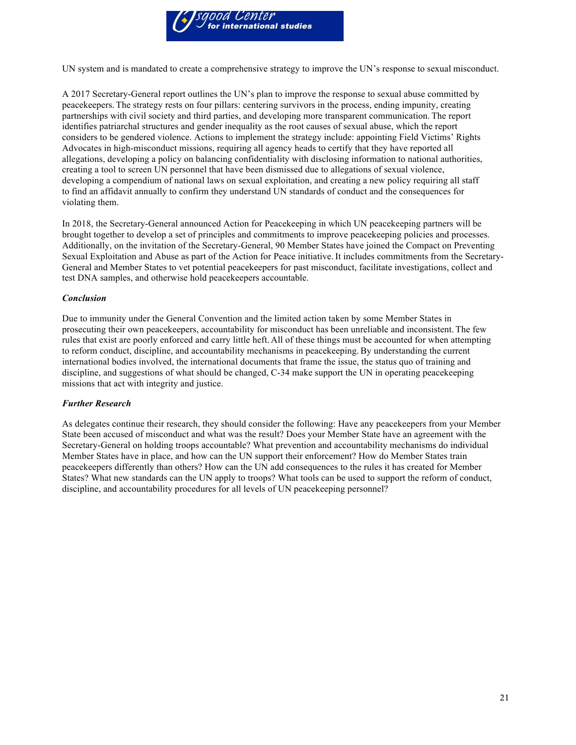

UN system and is mandated to create a comprehensive strategy to improve the UN's response to sexual misconduct.

A 2017 Secretary-General report outlines the UN's plan to improve the response to sexual abuse committed by peacekeepers. The strategy rests on four pillars: centering survivors in the process, ending impunity, creating partnerships with civil society and third parties, and developing more transparent communication. The report identifies patriarchal structures and gender inequality as the root causes of sexual abuse, which the report considers to be gendered violence. Actions to implement the strategy include: appointing Field Victims' Rights Advocates in high-misconduct missions, requiring all agency heads to certify that they have reported all allegations, developing a policy on balancing confidentiality with disclosing information to national authorities, creating a tool to screen UN personnel that have been dismissed due to allegations of sexual violence, developing a compendium of national laws on sexual exploitation, and creating a new policy requiring all staff to find an affidavit annually to confirm they understand UN standards of conduct and the consequences for violating them.

In 2018, the Secretary-General announced Action for Peacekeeping in which UN peacekeeping partners will be brought together to develop a set of principles and commitments to improve peacekeeping policies and processes. Additionally, on the invitation of the Secretary-General, 90 Member States have joined the Compact on Preventing Sexual Exploitation and Abuse as part of the Action for Peace initiative. It includes commitments from the Secretary-General and Member States to vet potential peacekeepers for past misconduct, facilitate investigations, collect and test DNA samples, and otherwise hold peacekeepers accountable.

#### *Conclusion*

Due to immunity under the General Convention and the limited action taken by some Member States in prosecuting their own peacekeepers, accountability for misconduct has been unreliable and inconsistent. The few rules that exist are poorly enforced and carry little heft. All of these things must be accounted for when attempting to reform conduct, discipline, and accountability mechanisms in peacekeeping.By understanding the current international bodies involved, the international documents that frame the issue, the status quo of training and discipline, and suggestions of what should be changed, C-34 make support the UN in operating peacekeeping missions that act with integrity and justice.

## *Further Research*

As delegates continue their research, they should consider the following: Have any peacekeepers from your Member State been accused of misconduct and what was the result? Does your Member State have an agreement with the Secretary-General on holding troops accountable? What prevention and accountability mechanisms do individual Member States have in place, and how can the UN support their enforcement? How do Member States train peacekeepers differently than others? How can the UN add consequences to the rules it has created for Member States? What new standards can the UN apply to troops? What tools can be used to support the reform of conduct, discipline, and accountability procedures for all levels of UN peacekeeping personnel?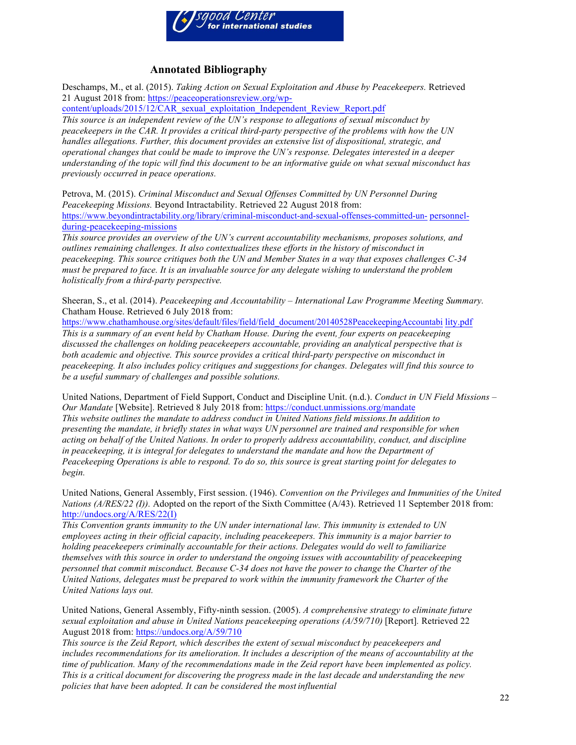

## **Annotated Bibliography**

Deschamps, M., et al. (2015). *Taking Action on Sexual Exploitation and Abuse by Peacekeepers.* Retrieved 21 August 2018 from: https://peaceoperationsreview.org/wp-

content/uploads/2015/12/CAR\_sexual\_exploitation\_Independent\_Review\_Report.pdf *This source is an independent review of the UN's response to allegations of sexual misconduct by peacekeepers in the CAR. It provides a critical third-party perspective of the problems with how the UN handles allegations. Further, this document provides an extensive list of dispositional, strategic, and operational changes that could be made to improve the UN's response. Delegates interested in a deeper understanding of the topic will find this document to be an informative guide on what sexual misconduct has previously occurred in peace operations.*

Petrova, M. (2015). *Criminal Misconduct and Sexual Offenses Committed by UN Personnel During Peacekeeping Missions.* Beyond Intractability. Retrieved 22 August 2018 from: https://www.beyondintractability.org/library/criminal-misconduct-and-sexual-offenses-committed-un- personnelduring-peacekeeping-missions

*This source provides an overview of the UN's current accountability mechanisms, proposes solutions, and outlines remaining challenges. It also contextualizes these efforts in the history of misconduct in peacekeeping. This source critiques both the UN and Member States in a way that exposes challenges C-34 must be prepared to face. It is an invaluable source for any delegate wishing to understand the problem holistically from a third-party perspective.*

Sheeran, S., et al. (2014). *Peacekeeping and Accountability – International Law Programme Meeting Summary.*  Chatham House. Retrieved 6 July 2018 from:

https://www.chathamhouse.org/sites/default/files/field/field\_document/20140528PeacekeepingAccountabi lity.pdf *This is a summary of an event held by Chatham House. During the event, four experts on peacekeeping discussed the challenges on holding peacekeepers accountable, providing an analytical perspective that is both academic and objective. This source provides a critical third-party perspective on misconduct in peacekeeping. It also includes policy critiques and suggestions for changes. Delegates will find this source to be a useful summary of challenges and possible solutions.*

United Nations, Department of Field Support, Conduct and Discipline Unit. (n.d.). *Conduct in UN Field Missions – Our Mandate* [Website]. Retrieved 8 July 2018 from: https://conduct.unmissions.org/mandate *This website outlines the mandate to address conduct in United Nations field missions.In addition to presenting the mandate, it briefly states in what ways UN personnel are trained and responsible for when acting on behalf of the United Nations. In order to properly address accountability, conduct, and discipline in peacekeeping, it is integral for delegates to understand the mandate and how the Department of Peacekeeping Operations is able to respond. To do so, this source is great starting point for delegates to begin.*

United Nations, General Assembly, First session. (1946). *Convention on the Privileges and Immunities of the United Nations (A/RES/22 (I)).* Adopted on the report of the Sixth Committee (A/43). Retrieved 11 September 2018 from: http://undocs.org/A/RES/22(I)

*This Convention grants immunity to the UN under international law. This immunity is extended to UN employees acting in their official capacity, including peacekeepers. This immunity is a major barrier to holding peacekeepers criminally accountable for their actions. Delegates would do well to familiarize themselves with this source in order to understand the ongoing issues with accountability of peacekeeping personnel that commit misconduct. Because C-34 does not have the power to change the Charter of the United Nations, delegates must be prepared to work within the immunity framework the Charter of the United Nations lays out.*

United Nations, General Assembly, Fifty-ninth session. (2005). *A comprehensive strategy to eliminate future sexual exploitation and abuse in United Nations peacekeeping operations (A/59/710)* [Report]*.* Retrieved 22 August 2018 from: https://undocs.org/A/59/710

*This source is the Zeid Report, which describes the extent of sexual misconduct by peacekeepers and includes recommendations for its amelioration. It includes a description of the means of accountability at the time of publication. Many of the recommendations made in the Zeid report have been implemented as policy. This is a critical document for discovering the progress made in the last decade and understanding the new policies that have been adopted. It can be considered the most influential*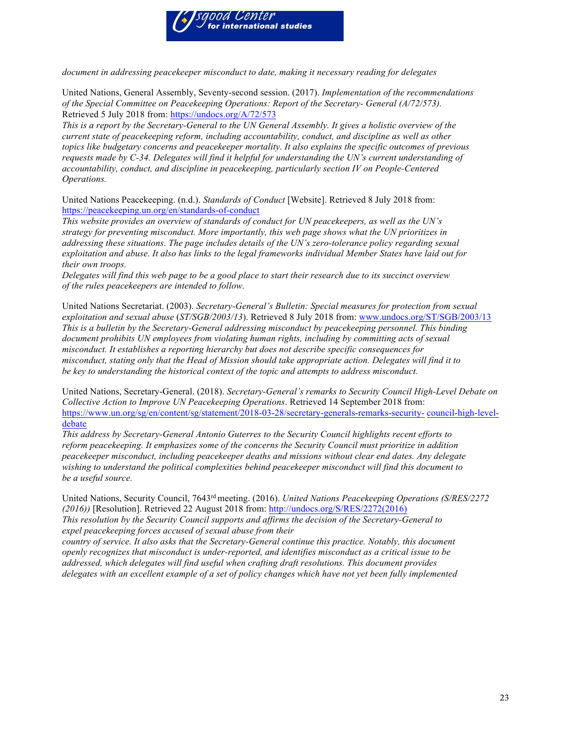

*document in addressing peacekeeper misconduct to date, making it necessary reading for delegates*

United Nations, General Assembly, Seventy-second session. (2017). *Implementation of the recommendations of the Special Committee on Peacekeeping Operations: Report of the Secretary- General (A/72/573).*  Retrieved 5 July 2018 from: https://undocs.org/A/72/573

*This is a report by the Secretary-General to the UN General Assembly. It gives a holistic overview of the current state of peacekeeping reform, including accountability, conduct, and discipline as well as other topics like budgetary concerns and peacekeeper mortality. It also explains the specific outcomes of previous requests made by C-34. Delegates will find it helpful for understanding the UN's current understanding of accountability, conduct, and discipline in peacekeeping, particularly section IV on People-Centered Operations.*

United Nations Peacekeeping. (n.d.). *Standards of Conduct* [Website]. Retrieved 8 July 2018 from: https://peacekeeping.un.org/en/standards-of-conduct

*This website provides an overview of standards of conduct for UN peacekeepers, as well as the UN's strategy for preventing misconduct. More importantly, this web page shows what the UN prioritizes in addressing these situations. The page includes details of the UN's zero-tolerance policy regarding sexual exploitation and abuse. It also has links to the legal frameworks individual Member States have laid out for their own troops.*

*Delegates will find this web page to be a good place to start their research due to its succinct overview of the rules peacekeepers are intended to follow.*

United Nations Secretariat. (2003). *Secretary-General's Bulletin: Special measures for protection from sexual exploitation and sexual abuse* (*ST/SGB/2003/13*). Retrieved 8 July 2018 from: www.undocs.org/ST/SGB/2003/13 *This is a bulletin by the Secretary-General addressing misconduct by peacekeeping personnel. This binding document prohibits UN employees from violating human rights, including by committing acts of sexual misconduct. It establishes a reporting hierarchy but does not describe specific consequences for misconduct, stating only that the Head of Mission should take appropriate action. Delegates will find it to be key to understanding the historical context of the topic and attempts to address misconduct.*

United Nations, Secretary-General. (2018). *Secretary-General's remarks to Security Council High-Level Debate on Collective Action to Improve UN Peacekeeping Operations*. Retrieved 14 September 2018 from: https://www.un.org/sg/en/content/sg/statement/2018-03-28/secretary-generals-remarks-security- council-high-leveldebate

*This address by Secretary-General Antonio Guterres to the Security Council highlights recent efforts to reform peacekeeping. It emphasizes some of the concerns the Security Council must prioritize in addition peacekeeper misconduct, including peacekeeper deaths and missions without clear end dates. Any delegate wishing to understand the political complexities behind peacekeeper misconduct will find this document to be a useful source.*

United Nations, Security Council, 7643rd meeting. (2016). *United Nations Peacekeeping Operations (S/RES/2272 (2016))* [Resolution]. Retrieved 22 August 2018 from: http://undocs.org/S/RES/2272(2016)

*This resolution by the Security Council supports and affirms the decision of the Secretary-General to expel peacekeeping forces accused of sexual abuse from their*

*country of service. It also asks that the Secretary-General continue this practice. Notably, this document openly recognizes that misconduct is under-reported, and identifies misconduct as a critical issue to be addressed, which delegates will find useful when crafting draft resolutions. This document provides delegates with an excellent example of a set of policy changes which have not yet been fully implemented*